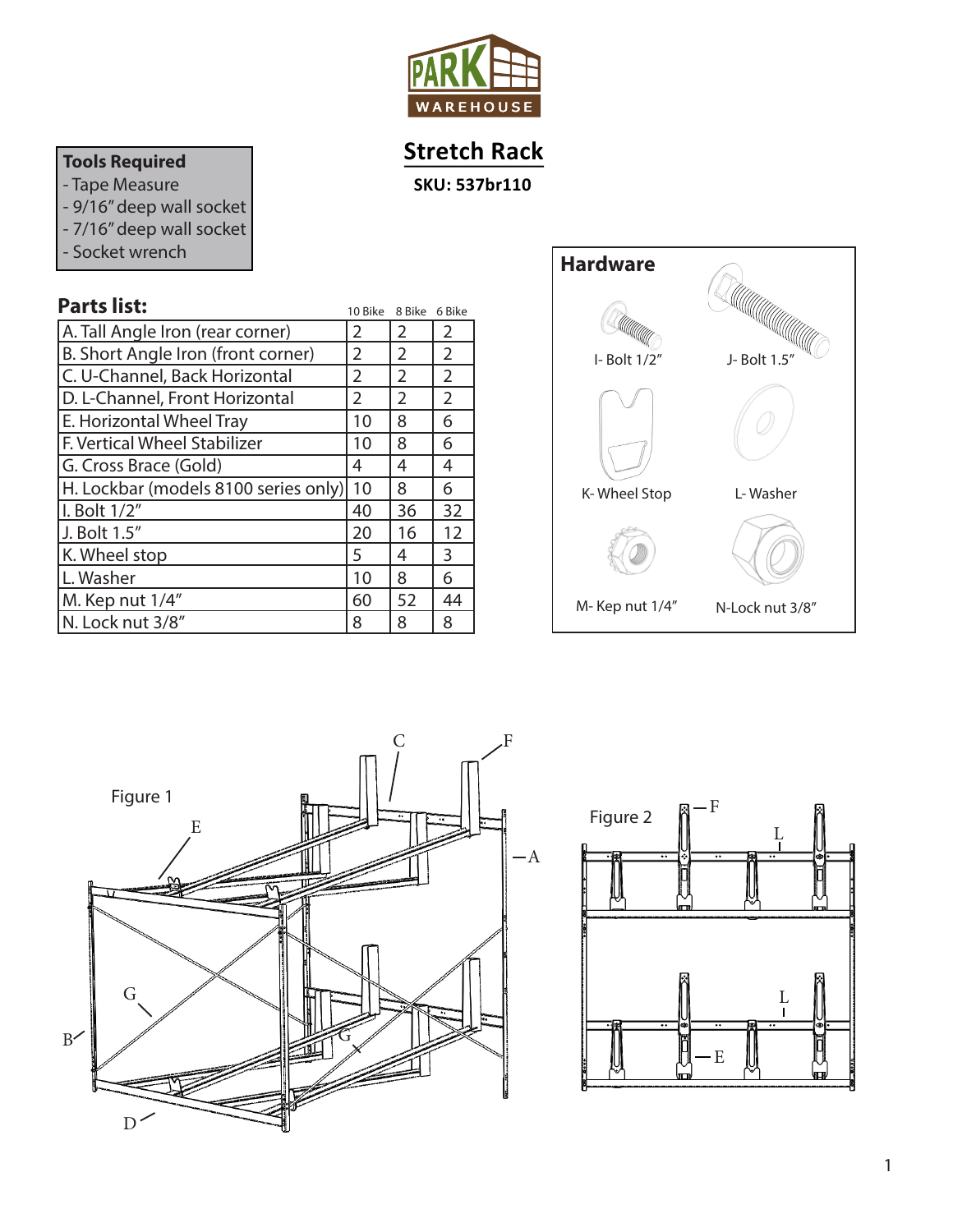

# **Stretch Rack**

**SKU: 537br110**

# **Tools Required**

- Tape Measure
- 9/16" deep wall socket
- 7/16" deep wall socket
- Socket wrench

| <b>Parts list:</b>                   | 10 Bike | 8 Bike         | 6 Bike         |
|--------------------------------------|---------|----------------|----------------|
| A. Tall Angle Iron (rear corner)     | 2       | 2              | 2              |
| B. Short Angle Iron (front corner)   | 2       | $\overline{2}$ | $\overline{2}$ |
| C. U-Channel, Back Horizontal        | 2       | 2              | $\overline{2}$ |
| D. L-Channel, Front Horizontal       | 2       | 2              | $\overline{2}$ |
| E. Horizontal Wheel Tray             | 10      | 8              | 6              |
| F. Vertical Wheel Stabilizer         | 10      | 8              | 6              |
| G. Cross Brace (Gold)                | 4       | 4              | 4              |
| H. Lockbar (models 8100 series only) | 10      | 8              | 6              |
| I. Bolt 1/2"                         | 40      | 36             | 32             |
| J. Bolt 1.5"                         | 20      | 16             | 12             |
| K. Wheel stop                        | 5       | 4              | 3              |
| L. Washer                            | 10      | 8              | 6              |
| M. Kep nut 1/4"                      | 60      | 52             | 44             |
| N. Lock nut 3/8"                     | 8       | 8              | 8              |





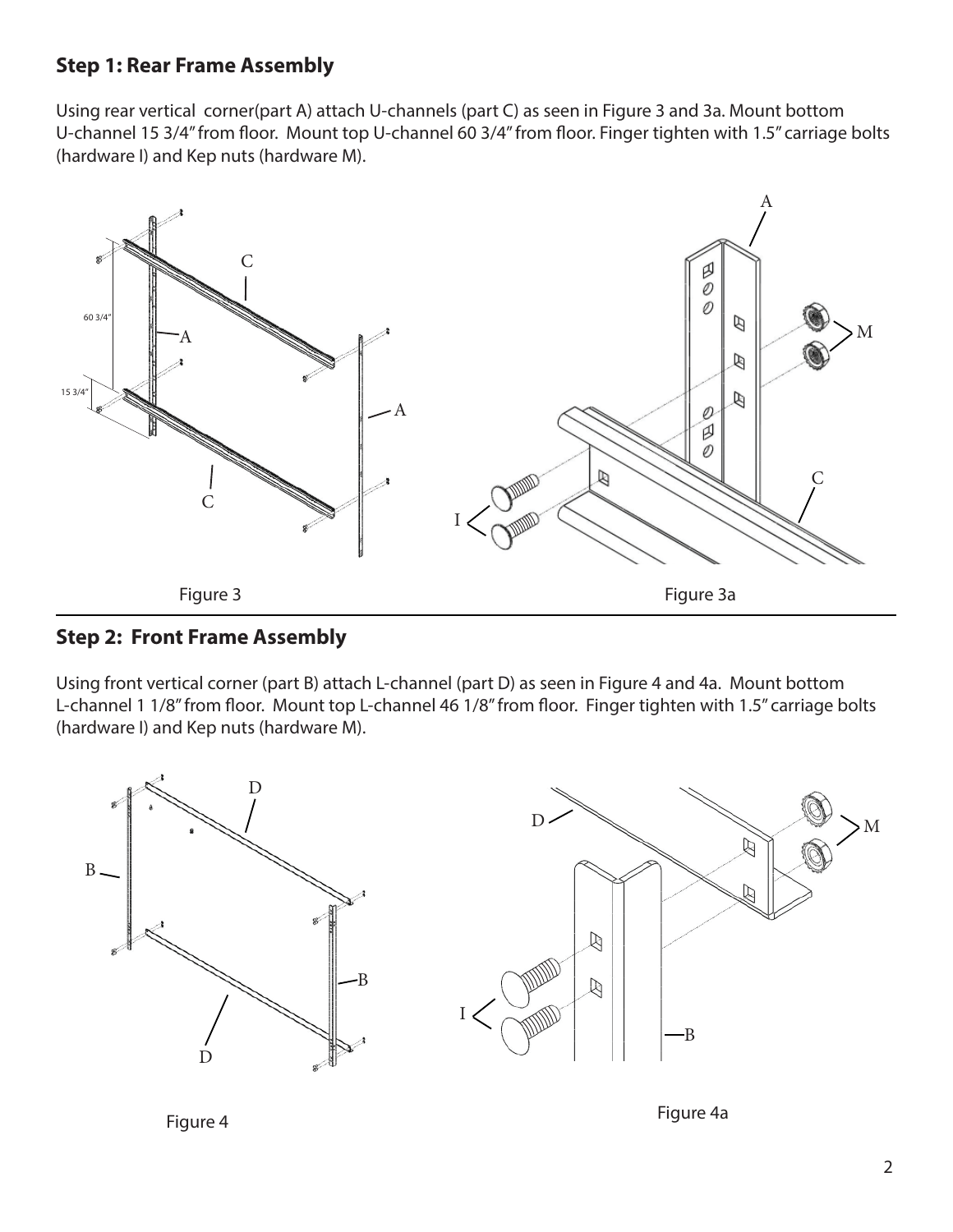## **Step 1: Rear Frame Assembly**

Using rear vertical corner(part A) attach U-channels (part C) as seen in Figure 3 and 3a. Mount bottom U-channel 15 3/4" from floor. Mount top U-channel 60 3/4" from floor. Finger tighten with 1.5" carriage bolts (hardware I) and Kep nuts (hardware M).



#### **Step 2: Front Frame Assembly**

Using front vertical corner (part B) attach L-channel (part D) as seen in Figure 4 and 4a. Mount bottom L-channel 1 1/8" from floor. Mount top L-channel 46 1/8" from floor. Finger tighten with 1.5" carriage bolts (hardware I) and Kep nuts (hardware M).



Figure 4 Figure 4a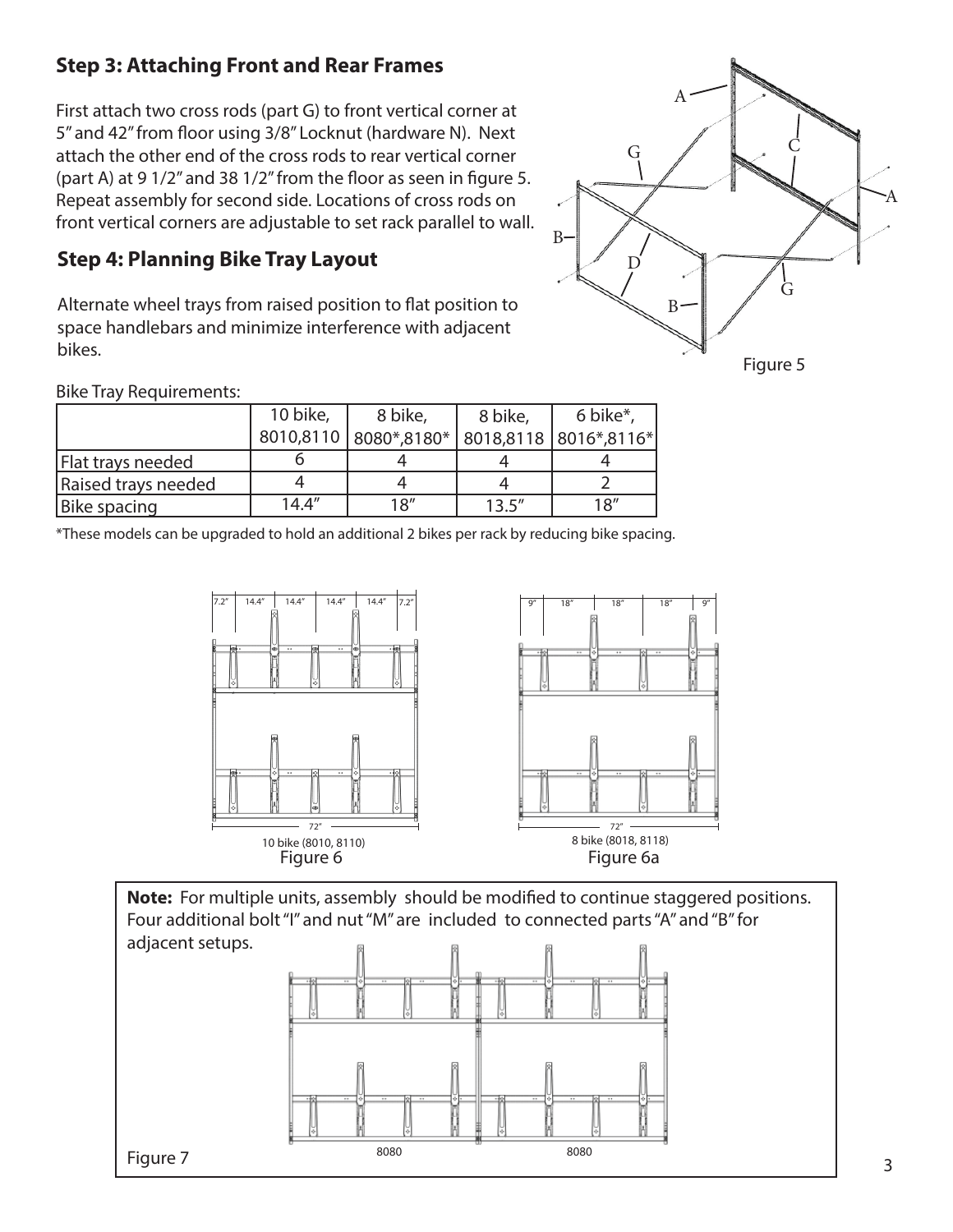# **Step 3: Attaching Front and Rear Frames**

First attach two cross rods (part G) to front vertical corner at 5" and 42" from floor using 3/8" Locknut (hardware N). Next attach the other end of the cross rods to rear vertical corner (part A) at 9 1/2" and 38 1/2" from the floor as seen in figure 5. Repeat assembly for second side. Locations of cross rods on front vertical corners are adjustable to set rack parallel to wall.

# **Step 4: Planning Bike Tray Layout**

Alternate wheel trays from raised position to flat position to space handlebars and minimize interference with adjacent bikes.



Bike Tray Requirements:

|                     | 10 bike, | 8 bike,                                           | 8 bike, | 6 bike*, |
|---------------------|----------|---------------------------------------------------|---------|----------|
|                     |          | 8010,8110   8080*,8180*   8018,8118   8016*,8116* |         |          |
| Flat trays needed   |          |                                                   |         |          |
| Raised trays needed |          |                                                   |         |          |
| Bike spacing        | 14.4''   | 18''                                              | 13.5''  | 18''     |

\*These models can be upgraded to hold an additional 2 bikes per rack by reducing bike spacing.



**Note:** For multiple units, assembly should be modified to continue staggered positions. Four additional bolt "I" and nut "M" are included to connected parts "A" and "B" for adjacent setups.



3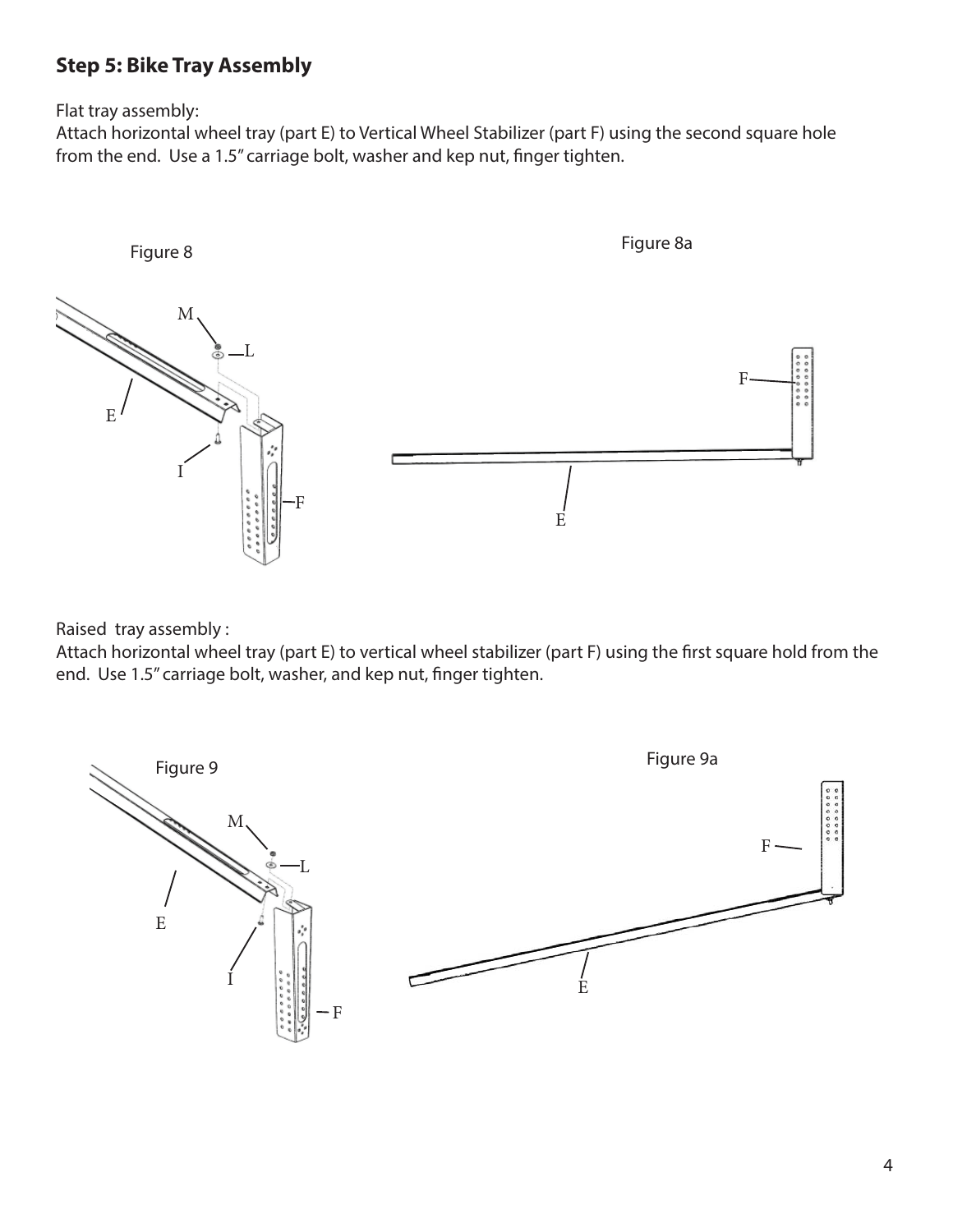# **Step 5: Bike Tray Assembly**

Flat tray assembly:

Attach horizontal wheel tray (part E) to Vertical Wheel Stabilizer (part F) using the second square hole from the end. Use a 1.5" carriage bolt, washer and kep nut, finger tighten.



Raised tray assembly :

Attach horizontal wheel tray (part E) to vertical wheel stabilizer (part F) using the first square hold from the end. Use 1.5" carriage bolt, washer, and kep nut, finger tighten.

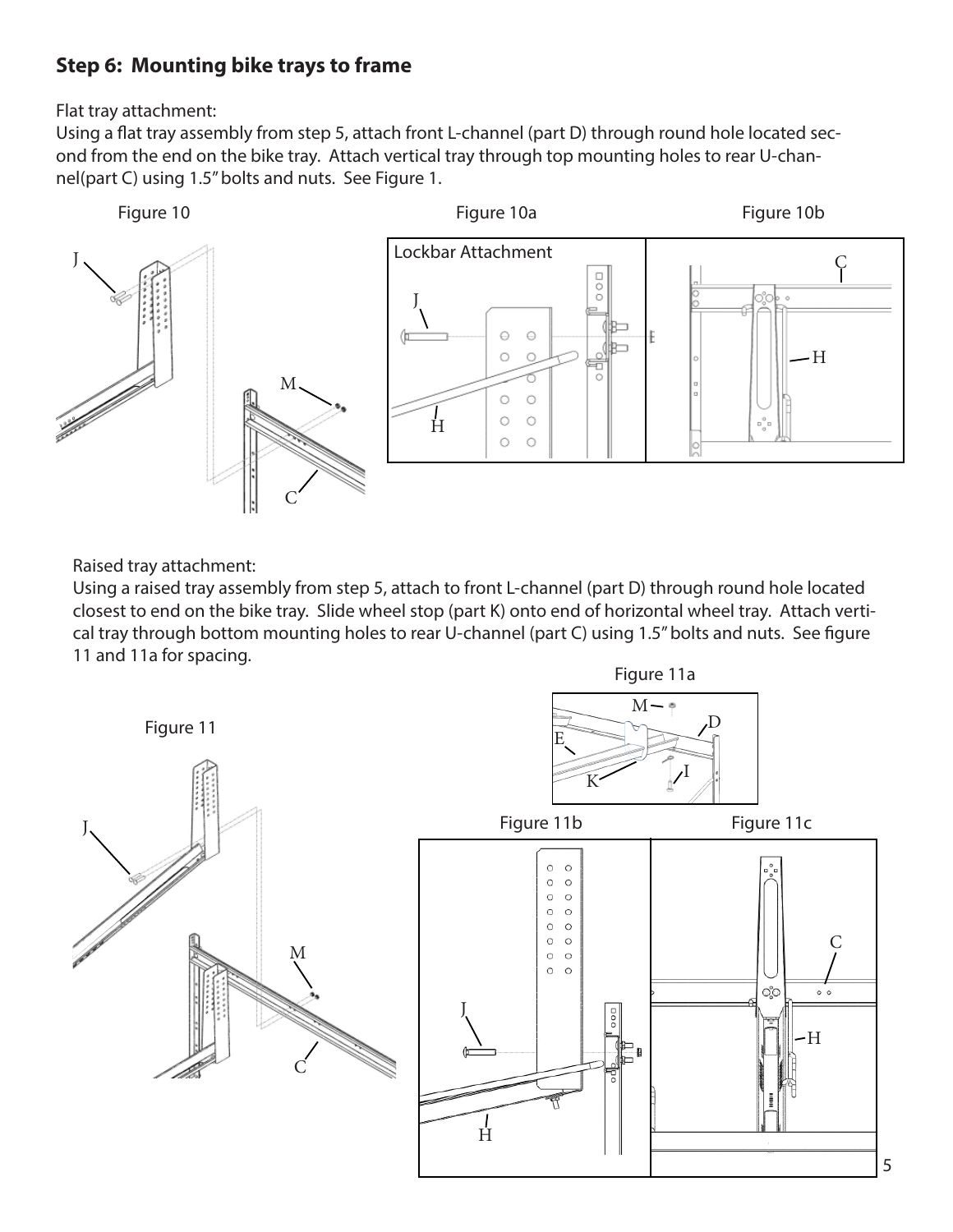## **Step 6: Mounting bike trays to frame**

Flat tray attachment:

Using a flat tray assembly from step 5, attach front L-channel (part D) through round hole located second from the end on the bike tray. Attach vertical tray through top mounting holes to rear U-channel(part C) using 1.5" bolts and nuts. See Figure 1.



Raised tray attachment:

Using a raised tray assembly from step 5, attach to front L-channel (part D) through round hole located closest to end on the bike tray. Slide wheel stop (part K) onto end of horizontal wheel tray. Attach vertical tray through bottom mounting holes to rear U-channel (part C) using 1.5" bolts and nuts. See figure 11 and 11a for spacing.